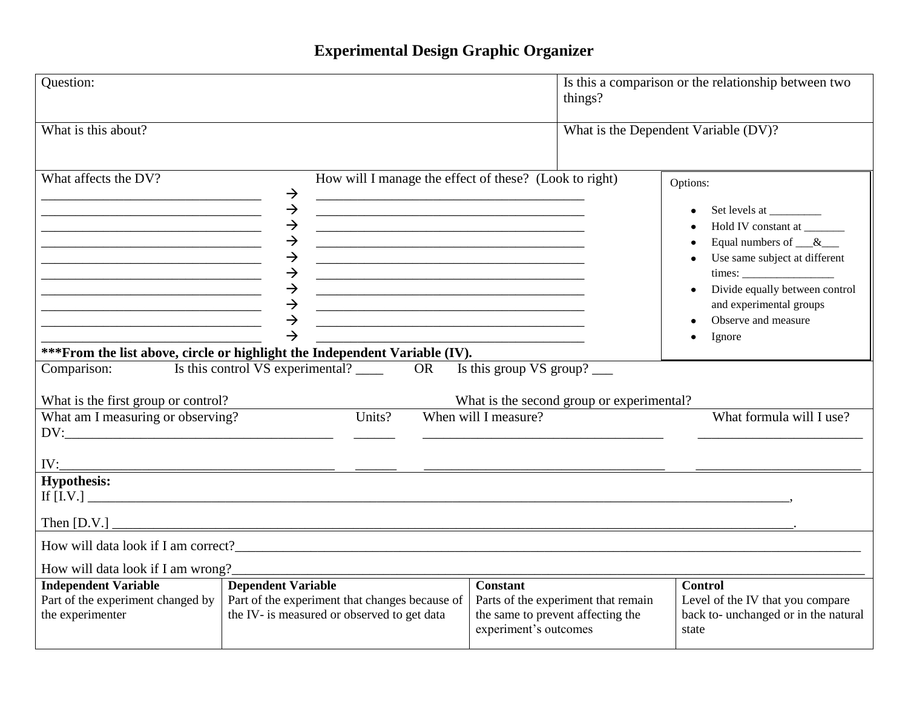## **Experimental Design Graphic Organizer**

| Question:                                                                                                                                                                                                                                                                                                                                                                                                                                                             |                                                                                                                                                                                                                                                                                                                                                                                                                                                                                                                                                                                                                                                                                                                                                                                                                                        | things?                                                                                                              | Is this a comparison or the relationship between two                                                                                                                                                                                                              |
|-----------------------------------------------------------------------------------------------------------------------------------------------------------------------------------------------------------------------------------------------------------------------------------------------------------------------------------------------------------------------------------------------------------------------------------------------------------------------|----------------------------------------------------------------------------------------------------------------------------------------------------------------------------------------------------------------------------------------------------------------------------------------------------------------------------------------------------------------------------------------------------------------------------------------------------------------------------------------------------------------------------------------------------------------------------------------------------------------------------------------------------------------------------------------------------------------------------------------------------------------------------------------------------------------------------------------|----------------------------------------------------------------------------------------------------------------------|-------------------------------------------------------------------------------------------------------------------------------------------------------------------------------------------------------------------------------------------------------------------|
| What is this about?                                                                                                                                                                                                                                                                                                                                                                                                                                                   |                                                                                                                                                                                                                                                                                                                                                                                                                                                                                                                                                                                                                                                                                                                                                                                                                                        |                                                                                                                      | What is the Dependent Variable (DV)?                                                                                                                                                                                                                              |
| What affects the DV?<br><u> 1989 - Johann John Stein, markin fan it ferstjer fan de ferstjer fan it ferstjer fan de ferstjer fan it fers</u><br><u> 2000 - Jan Barat, margaret eta bat zuen bat zuen bat zuen zuen bat zuen bat zuen bat zuen bat zuen bat zuen </u><br><u> 2000 - 2000 - 2000 - 2000 - 2000 - 2000 - 2000 - 2000 - 2000 - 2000 - 2000 - 2000 - 2000 - 2000 - 2000 - 200</u><br><u> 1989 - Jan Barnett, fransk politiker (d. 1989)</u><br>Comparison: | How will I manage the effect of these? (Look to right)<br>$\rightarrow$<br>$\rightarrow$<br><u> 1989 - Johann Harry Harry Harry Harry Harry Harry Harry Harry Harry Harry Harry Harry Harry Harry Harry Harry</u><br>$\rightarrow$<br><u> 1989 - Johann John Stein, mars an deutscher Stein († 1989)</u><br>$\rightarrow$<br><u> 1989 - Johann Harry Harry Harry Harry Harry Harry Harry Harry Harry Harry Harry Harry Harry Harry Harry Harry</u><br>$\rightarrow$<br><u> 1989 - Johann Barn, mars ann an t-Amhain an t-Amhain ann an t-Amhain an t-Amhain an t-Amhain an t-Amhain an t-</u><br>$\rightarrow$<br>$\rightarrow$<br><u> 1989 - Johann Barbara, margaret eta idazlearia (h. 1989).</u><br>$\rightarrow$<br>$\rightarrow$<br>$\rightarrow$<br>*** From the list above, circle or highlight the Independent Variable (IV). | Is this group $VS$ group? $\_\_$                                                                                     | Options:<br>Set levels at __________<br>Hold IV constant at<br>$\bullet$<br>Equal numbers of $\_\&$<br>$\bullet$<br>Use same subject at different<br>$\bullet$<br>Divide equally between control<br>and experimental groups<br>Observe and measure<br>Ignore<br>٠ |
| What is the first group or control?<br>What am I measuring or observing?<br>DV:                                                                                                                                                                                                                                                                                                                                                                                       | Units?                                                                                                                                                                                                                                                                                                                                                                                                                                                                                                                                                                                                                                                                                                                                                                                                                                 | What is the second group or experimental?<br>When will I measure?                                                    | What formula will I use?                                                                                                                                                                                                                                          |
| IV:                                                                                                                                                                                                                                                                                                                                                                                                                                                                   |                                                                                                                                                                                                                                                                                                                                                                                                                                                                                                                                                                                                                                                                                                                                                                                                                                        |                                                                                                                      |                                                                                                                                                                                                                                                                   |
| <b>Hypothesis:</b>                                                                                                                                                                                                                                                                                                                                                                                                                                                    |                                                                                                                                                                                                                                                                                                                                                                                                                                                                                                                                                                                                                                                                                                                                                                                                                                        |                                                                                                                      |                                                                                                                                                                                                                                                                   |
|                                                                                                                                                                                                                                                                                                                                                                                                                                                                       |                                                                                                                                                                                                                                                                                                                                                                                                                                                                                                                                                                                                                                                                                                                                                                                                                                        |                                                                                                                      |                                                                                                                                                                                                                                                                   |
| How will data look if I am wrong?                                                                                                                                                                                                                                                                                                                                                                                                                                     |                                                                                                                                                                                                                                                                                                                                                                                                                                                                                                                                                                                                                                                                                                                                                                                                                                        |                                                                                                                      |                                                                                                                                                                                                                                                                   |
| <b>Independent Variable</b><br>Part of the experiment changed by<br>the experimenter                                                                                                                                                                                                                                                                                                                                                                                  | <b>Dependent Variable</b><br>Part of the experiment that changes because of<br>the IV- is measured or observed to get data                                                                                                                                                                                                                                                                                                                                                                                                                                                                                                                                                                                                                                                                                                             | <b>Constant</b><br>Parts of the experiment that remain<br>the same to prevent affecting the<br>experiment's outcomes | <b>Control</b><br>Level of the IV that you compare<br>back to- unchanged or in the natural<br>state                                                                                                                                                               |